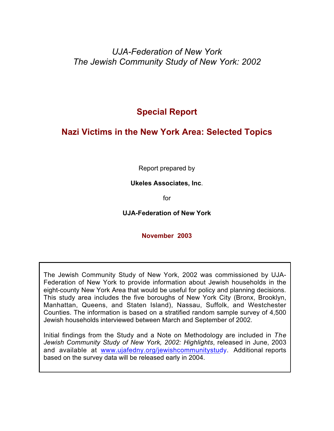*UJA-Federation of New York The Jewish Community Study of New York: 2002*

**Special Report**

# **Nazi Victims in the New York Area: Selected Topics**

Report prepared by

**Ukeles Associates, Inc**.

for

**UJA-Federation of New York**

**November 2003**

The Jewish Community Study of New York, 2002 was commissioned by UJA-Federation of New York to provide information about Jewish households in the eight-county New York Area that would be useful for policy and planning decisions. This study area includes the five boroughs of New York City (Bronx, Brooklyn, Manhattan, Queens, and Staten Island), Nassau, Suffolk, and Westchester Counties. The information is based on a stratified random sample survey of 4,500 Jewish households interviewed between March and September of 2002.

Initial findings from the Study and a Note on Methodology are included in *The Jewish Community Study of New York, 2002: Highlights*, released in June, 2003 and available at www.ujafedny.org/jewishcommunitystudy. Additional reports based on the survey data will be released early in 2004.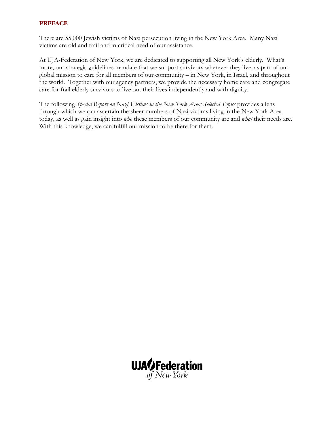#### **PREFACE**

There are 55,000 Jewish victims of Nazi persecution living in the New York Area. Many Nazi victims are old and frail and in critical need of our assistance.

At UJA-Federation of New York, we are dedicated to supporting all New York's elderly. What's more, our strategic guidelines mandate that we support survivors wherever they live, as part of our global mission to care for all members of our community – in New York, in Israel, and throughout the world. Together with our agency partners, we provide the necessary home care and congregate care for frail elderly survivors to live out their lives independently and with dignity.

The following *Special Report on Nazi Victims in the New York Area: Selected Topics* provides a lens through which we can ascertain the sheer numbers of Nazi victims living in the New York Area today, as well as gain insight into *who* these members of our community are and *what* their needs are. With this knowledge, we can fulfill our mission to be there for them.

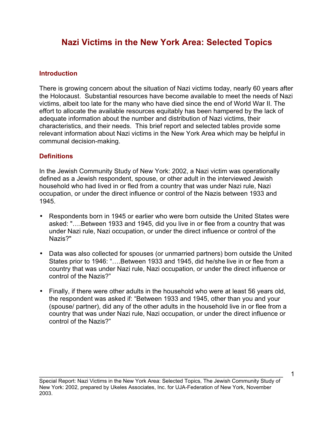# **Nazi Victims in the New York Area: Selected Topics**

### **Introduction**

There is growing concern about the situation of Nazi victims today, nearly 60 years after the Holocaust. Substantial resources have become available to meet the needs of Nazi victims, albeit too late for the many who have died since the end of World War II. The effort to allocate the available resources equitably has been hampered by the lack of adequate information about the number and distribution of Nazi victims, their characteristics, and their needs. This brief report and selected tables provide some relevant information about Nazi victims in the New York Area which may be helpful in communal decision-making.

#### **Definitions**

In the Jewish Community Study of New York: 2002, a Nazi victim was operationally defined as a Jewish respondent, spouse, or other adult in the interviewed Jewish household who had lived in or fled from a country that was under Nazi rule, Nazi occupation, or under the direct influence or control of the Nazis between 1933 and 1945.

- Respondents born in 1945 or earlier who were born outside the United States were asked: "….Between 1933 and 1945, did you live in or flee from a country that was under Nazi rule, Nazi occupation, or under the direct influence or control of the Nazis?"
- Data was also collected for spouses (or unmarried partners) born outside the United States prior to 1946: "….Between 1933 and 1945, did he/she live in or flee from a country that was under Nazi rule, Nazi occupation, or under the direct influence or control of the Nazis?"
- Finally, if there were other adults in the household who were at least 56 years old, the respondent was asked if: "Between 1933 and 1945, other than you and your (spouse/ partner), did any of the other adults in the household live in or flee from a country that was under Nazi rule, Nazi occupation, or under the direct influence or control of the Nazis?"

Special Report: Nazi Victims in the New York Area: Selected Topics, The Jewish Community Study of New York: 2002, prepared by Ukeles Associates, Inc. for UJA-Federation of New York, November 2003.

\_\_\_\_\_\_\_\_\_\_\_\_\_\_\_\_\_\_\_\_\_\_\_\_\_\_\_\_\_\_\_\_\_\_\_\_\_\_\_\_\_\_\_\_\_\_\_\_\_\_\_\_\_\_\_\_\_\_\_\_\_\_\_\_\_\_\_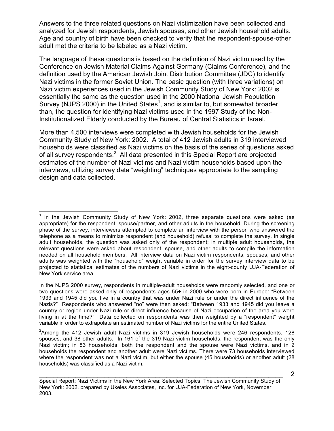Answers to the three related questions on Nazi victimization have been collected and analyzed for Jewish respondents, Jewish spouses, and other Jewish household adults. Age and country of birth have been checked to verify that the respondent-spouse-other adult met the criteria to be labeled as a Nazi victim.

The language of these questions is based on the definition of Nazi victim used by the Conference on Jewish Material Claims Against Germany (Claims Conference), and the definition used by the American Jewish Joint Distribution Committee (JDC) to identify Nazi victims in the former Soviet Union. The basic question (with three variations) on Nazi victim experiences used in the Jewish Community Study of New York: 2002 is essentially the same as the question used in the 2000 National Jewish Population Survey (NJPS 2000) in the United States<sup>1</sup>, and is similar to, but somewhat broader than, the question for identifying Nazi victims used in the 1997 Study of the Non-Institutionalized Elderly conducted by the Bureau of Central Statistics in Israel.

More than 4,500 interviews were completed with Jewish households for the Jewish Community Study of New York: 2002. A total of 412 Jewish adults in 319 interviewed households were classified as Nazi victims on the basis of the series of questions asked of all survey respondents.<sup>2</sup> All data presented in this Special Report are projected estimates of the number of Nazi victims and Nazi victim households based upon the interviews, utilizing survey data "weighting" techniques appropriate to the sampling design and data collected.

\_\_\_\_\_\_\_\_\_\_\_\_\_\_\_\_\_\_\_\_\_\_\_\_\_\_\_\_\_\_\_\_\_\_\_\_\_\_\_\_\_\_\_\_\_\_\_\_\_\_\_\_\_\_\_\_\_\_\_\_\_\_\_\_\_\_\_

 $1$  In the Jewish Community Study of New York: 2002, three separate questions were asked (as appropriate) for the respondent, spouse/partner, and other adults in the household. During the screening phase of the survey, interviewers attempted to complete an interview with the person who answered the telephone as a means to minimize respondent (and household) refusal to complete the survey. In single adult households, the question was asked only of the respondent; in multiple adult households, the relevant questions were asked about respondent, spouse, and other adults to compile the information needed on all household members. All interview data on Nazi victim respondents, spouses, and other adults was weighted with the "household" weight variable in order for the survey interview data to be projected to statistical estimates of the numbers of Nazi victims in the eight-county UJA-Federation of New York service area.

In the NJPS 2000 survey, respondents in multiple-adult households were randomly selected, and one or two questions were asked only of respondents ages 55+ in 2000 who were born in Europe: "Between 1933 and 1945 did you live in a country that was under Nazi rule or under the direct influence of the Nazis?" Respondents who answered "no" were then asked: "Between 1933 and 1945 did you leave a country or region under Nazi rule or direct influence because of Nazi occupation of the area you were living in at the time?" Data collected on respondents was then weighted by a "respondent" weight variable in order to extrapolate an estimated number of Nazi victims for the entire United States.

 $^2$ Among the 412 Jewish adult Nazi victims in 319 Jewish households were 246 respondents, 128 spouses, and 38 other adults. In 161 of the 319 Nazi victim households, the respondent was the only Nazi victim; in 83 households, both the respondent and the spouse were Nazi victims, and in 2 households the respondent and another adult were Nazi victims. There were 73 households interviewed where the respondent was not a Nazi victim, but either the spouse (45 households) or another adult (28 households) was classified as a Nazi victim.

Special Report: Nazi Victims in the New York Area: Selected Topics, The Jewish Community Study of New York: 2002, prepared by Ukeles Associates, Inc. for UJA-Federation of New York, November 2003.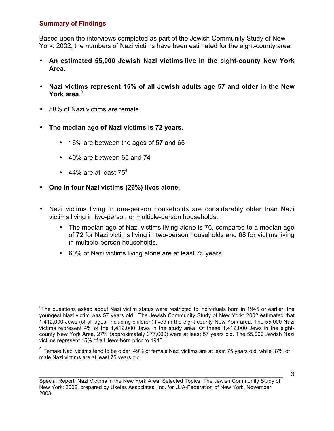# **Summary of Findings**

Based upon the interviews completed as part of the Jewish Community Study of New York: 2002, the numbers of Nazi victims have been estimated for the eight-county area:

- **An estimated 55,000 Jewish Nazi victims live in the eight-county New York Area**.
- **Nazi victims represent 15% of all Jewish adults age 57 and older in the New York area**. 3
- 58% of Nazi victims are female.
- **The median age of Nazi victims is 72 years.**
	- 16% are between the ages of 57 and 65
	- 40% are between 65 and 74
	- $\bullet$  44% are at least 75<sup>4</sup>
- **One in four Nazi victims (26%) lives alone.**
- Nazi victims living in one-person households are considerably older than Nazi victims living in two-person or multiple-person households.
	- The median age of Nazi victims living alone is 76, compared to a median age of 72 for Nazi victims living in two-person households and 68 for victims living in multiple-person households.
	- 60% of Nazi victims living alone are at least 75 years.

 <sup>3</sup> The questions asked about Nazi victim status were restricted to individuals born in 1945 or earlier; the youngest Nazi victim was 57 years old. The Jewish Community Study of New York: 2002 estimated that 1,412,000 Jews (of all ages, including children) lived in the eight-county New York area. The 55,000 Nazi victims represent 4% of the 1,412,000 Jews in the study area. Of these 1,412,000 Jews in the eightcounty New York Area, 27% (approximately 377,000) were at least 57 years old. The 55,000 Jewish Nazi victims represent 15% of all Jews born prior to 1946.

 $4$  Female Nazi victims tend to be older: 49% of female Nazi victims are at least 75 years old, while 37% of male Nazi victims are at least 75 years old.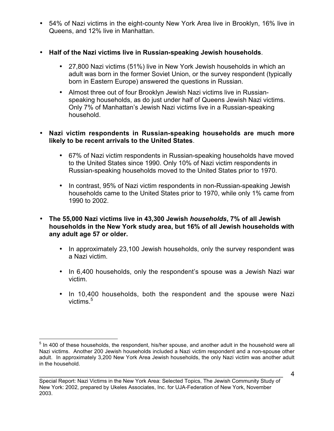- 54% of Nazi victims in the eight-county New York Area live in Brooklyn, 16% live in Queens, and 12% live in Manhattan.
- **Half of the Nazi victims live in Russian-speaking Jewish households**.
	- 27,800 Nazi victims (51%) live in New York Jewish households in which an adult was born in the former Soviet Union, or the survey respondent (typically born in Eastern Europe) answered the questions in Russian.
	- Almost three out of four Brooklyn Jewish Nazi victims live in Russianspeaking households, as do just under half of Queens Jewish Nazi victims. Only 7% of Manhattan's Jewish Nazi victims live in a Russian-speaking household.

## • **Nazi victim respondents in Russian-speaking households are much more likely to be recent arrivals to the United States**.

- 67% of Nazi victim respondents in Russian-speaking households have moved to the United States since 1990. Only 10% of Nazi victim respondents in Russian-speaking households moved to the United States prior to 1970.
- In contrast, 95% of Nazi victim respondents in non-Russian-speaking Jewish households came to the United States prior to 1970, while only 1% came from 1990 to 2002.
- **The 55,000 Nazi victims live in 43,300 Jewish** *households***, 7% of all Jewish households in the New York study area, but 16% of all Jewish households with any adult age 57 or older.**
	- In approximately 23,100 Jewish households, only the survey respondent was a Nazi victim.
	- In 6,400 households, only the respondent's spouse was a Jewish Nazi war victim.
	- In 10,400 households, both the respondent and the spouse were Nazi victims.<sup>5</sup>

<sup>&</sup>lt;sup>5</sup> In 400 of these households, the respondent, his/her spouse, and another adult in the household were all Nazi victims. Another 200 Jewish households included a Nazi victim respondent and a non-spouse other adult. In approximately 3,200 New York Area Jewish households, the only Nazi victim was another adult in the household.

\_\_\_\_\_\_\_\_\_\_\_\_\_\_\_\_\_\_\_\_\_\_\_\_\_\_\_\_\_\_\_\_\_\_\_\_\_\_\_\_\_\_\_\_\_\_\_\_\_\_\_\_\_\_\_\_\_\_\_\_\_\_\_\_\_\_\_ Special Report: Nazi Victims in the New York Area: Selected Topics, The Jewish Community Study of New York: 2002, prepared by Ukeles Associates, Inc. for UJA-Federation of New York, November 2003.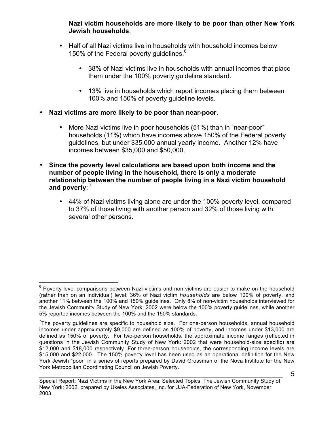**Nazi victim households are more likely to be poor than other New York Jewish households**.

- Half of all Nazi victims live in households with household incomes below 150% of the Federal poverty guidelines.<sup>6</sup>
	- 38% of Nazi victims live in households with annual incomes that place them under the 100% poverty guideline standard.
	- 13% live in households which report incomes placing them between 100% and 150% of poverty guideline levels.
- **Nazi victims are more likely to be poor than near-poor**.
	- More Nazi victims live in poor households (51%) than in "near-poor" households (11%) which have incomes above 150% of the Federal poverty guidelines, but under \$35,000 annual yearly income. Another 12% have incomes between \$35,000 and \$50,000.
- **Since the poverty level calculations are based upon both income and the number of people living in the household, there is only a moderate relationship between the number of people living in a Nazi victim household** and poverty:<sup>7</sup>
	- 44% of Nazi victims living alone are under the 100% poverty level, compared to 37% of those living with another person and 32% of those living with several other persons.

 $6$  Poverty level comparisons between Nazi victims and non-victims are easier to make on the household (rather than on an individual) level; 36% of Nazi victim *households* are below 100% of poverty, and another 11% between the 100% and 150% guidelines. Only 8% of non-victim households interviewed for the Jewish Community Study of New York: 2002 were below the 100% poverty guidelines, while another 5% reported incomes between the 100% and the 150% standards.

<sup>&</sup>lt;sup>7</sup>The poverty guidelines are specific to household size. For one-person households, annual household incomes under approximately \$9,000 are defined as 100% of poverty, and incomes under \$13,000 are defined as 150% of poverty. For two-person households, the approximate income ranges (reflected in questions in the Jewish Community Study of New York: 2002 that were household-size specific) are \$12,000 and \$18,000 respectively. For three-person households, the corresponding income levels are \$15,000 and \$22,000. The 150% poverty level has been used as an operational definition for the New York Jewish "poor" in a series of reports prepared by David Grossman of the Nova Institute for the New York Metropolitan Coordinating Council on Jewish Poverty.

\_\_\_\_\_\_\_\_\_\_\_\_\_\_\_\_\_\_\_\_\_\_\_\_\_\_\_\_\_\_\_\_\_\_\_\_\_\_\_\_\_\_\_\_\_\_\_\_\_\_\_\_\_\_\_\_\_\_\_\_\_\_\_\_\_\_\_ Special Report: Nazi Victims in the New York Area: Selected Topics, The Jewish Community Study of New York: 2002, prepared by Ukeles Associates, Inc. for UJA-Federation of New York, November 2003.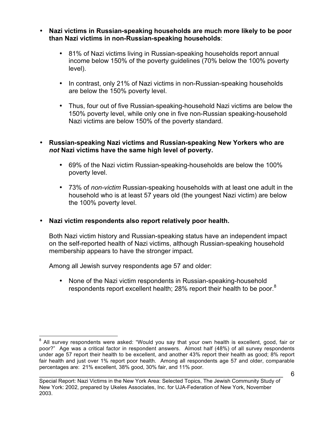- **Nazi victims in Russian-speaking households are much more likely to be poor than Nazi victims in non-Russian-speaking households**:
	- 81% of Nazi victims living in Russian-speaking households report annual income below 150% of the poverty guidelines (70% below the 100% poverty level).
	- In contrast, only 21% of Nazi victims in non-Russian-speaking households are below the 150% poverty level.
	- Thus, four out of five Russian-speaking-household Nazi victims are below the 150% poverty level, while only one in five non-Russian speaking-household Nazi victims are below 150% of the poverty standard.

## • **Russian-speaking Nazi victims and Russian-speaking New Yorkers who are** *not* **Nazi victims have the same high level of poverty.**

- 69% of the Nazi victim Russian-speaking-households are below the 100% poverty level.
- 73% of *non-victim* Russian-speaking households with at least one adult in the household who is at least 57 years old (the youngest Nazi victim) are below the 100% poverty level.
- **Nazi victim respondents also report relatively poor health.**

Both Nazi victim history and Russian-speaking status have an independent impact on the self-reported health of Nazi victims, although Russian-speaking household membership appears to have the stronger impact.

Among all Jewish survey respondents age 57 and older:

• None of the Nazi victim respondents in Russian-speaking-household respondents report excellent health; 28% report their health to be poor.<sup>8</sup>

<sup>&</sup>lt;sup>8</sup> All survey respondents were asked: "Would you say that your own health is excellent, good, fair or poor?" Age was a critical factor in respondent answers. Almost half (48%) of all survey respondents under age 57 report their health to be excellent, and another 43% report their health as good; 8% report fair health and just over 1% report poor health. Among all respondents age 57 and older, comparable percentages are: 21% excellent, 38% good, 30% fair, and 11% poor.

\_\_\_\_\_\_\_\_\_\_\_\_\_\_\_\_\_\_\_\_\_\_\_\_\_\_\_\_\_\_\_\_\_\_\_\_\_\_\_\_\_\_\_\_\_\_\_\_\_\_\_\_\_\_\_\_\_\_\_\_\_\_\_\_\_\_\_ Special Report: Nazi Victims in the New York Area: Selected Topics, The Jewish Community Study of New York: 2002, prepared by Ukeles Associates, Inc. for UJA-Federation of New York, November 2003.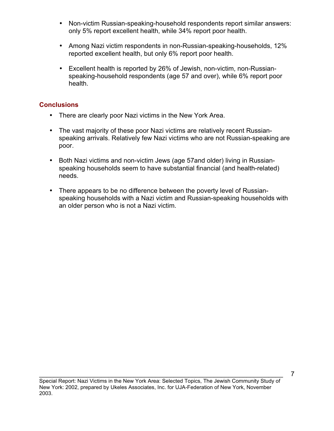- Non-victim Russian-speaking-household respondents report similar answers: only 5% report excellent health, while 34% report poor health.
- Among Nazi victim respondents in non-Russian-speaking-households, 12% reported excellent health, but only 6% report poor health.
- Excellent health is reported by 26% of Jewish, non-victim, non-Russianspeaking-household respondents (age 57 and over), while 6% report poor health.

# **Conclusions**

- There are clearly poor Nazi victims in the New York Area.
- The vast majority of these poor Nazi victims are relatively recent Russianspeaking arrivals. Relatively few Nazi victims who are not Russian-speaking are poor.
- Both Nazi victims and non-victim Jews (age 57and older) living in Russianspeaking households seem to have substantial financial (and health-related) needs.
- There appears to be no difference between the poverty level of Russianspeaking households with a Nazi victim and Russian-speaking households with an older person who is not a Nazi victim.

\_\_\_\_\_\_\_\_\_\_\_\_\_\_\_\_\_\_\_\_\_\_\_\_\_\_\_\_\_\_\_\_\_\_\_\_\_\_\_\_\_\_\_\_\_\_\_\_\_\_\_\_\_\_\_\_\_\_\_\_\_\_\_\_\_\_\_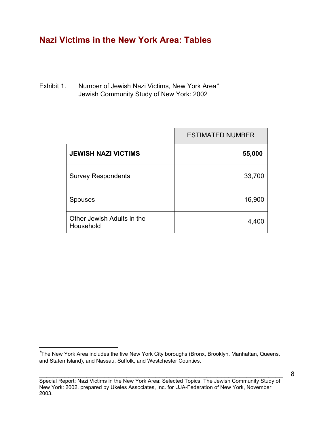# **Nazi Victims in the New York Area: Tables**

Exhibit 1. Number of Jewish Nazi Victims, New York Area<sup>∗</sup> Jewish Community Study of New York: 2002

|                                         | <b>ESTIMATED NUMBER</b> |
|-----------------------------------------|-------------------------|
| <b>JEWISH NAZI VICTIMS</b>              | 55,000                  |
| <b>Survey Respondents</b>               | 33,700                  |
| <b>Spouses</b>                          | 16,900                  |
| Other Jewish Adults in the<br>Household | 4,400                   |

\_\_\_\_\_\_\_\_\_\_\_\_\_\_\_\_\_\_\_\_\_\_\_\_\_\_\_\_\_\_\_\_\_\_\_\_\_\_\_\_\_\_\_\_\_\_\_\_\_\_\_\_\_\_\_\_\_\_\_\_\_\_\_\_\_\_\_

∗ The New York Area includes the five New York City boroughs (Bronx, Brooklyn, Manhattan, Queens, and Staten Island), and Nassau, Suffolk, and Westchester Counties.

Special Report: Nazi Victims in the New York Area: Selected Topics, The Jewish Community Study of New York: 2002, prepared by Ukeles Associates, Inc. for UJA-Federation of New York, November 2003.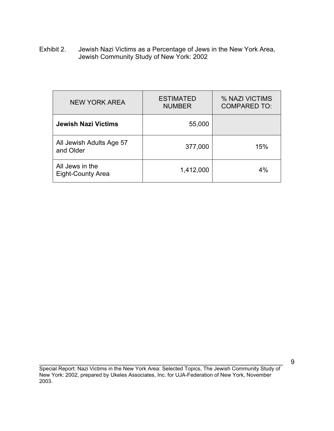Exhibit 2. Jewish Nazi Victims as a Percentage of Jews in the New York Area, Jewish Community Study of New York: 2002

| <b>NEW YORK AREA</b>                        | <b>ESTIMATED</b><br><b>NUMBER</b> | % NAZI VICTIMS<br><b>COMPARED TO:</b> |
|---------------------------------------------|-----------------------------------|---------------------------------------|
| <b>Jewish Nazi Victims</b>                  | 55,000                            |                                       |
| All Jewish Adults Age 57<br>and Older       | 377,000                           | 15%                                   |
| All Jews in the<br><b>Eight-County Area</b> | 1,412,000                         | 4%                                    |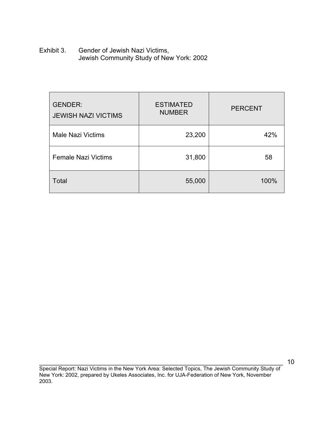Exhibit 3. Gender of Jewish Nazi Victims, Jewish Community Study of New York: 2002

| <b>GENDER:</b><br><b>JEWISH NAZI VICTIMS</b> | <b>ESTIMATED</b><br><b>NUMBER</b> | <b>PERCENT</b> |
|----------------------------------------------|-----------------------------------|----------------|
| <b>Male Nazi Victims</b>                     | 23,200                            | 42%            |
| <b>Female Nazi Victims</b>                   | 31,800                            | 58             |
| <b>Total</b>                                 | 55,000                            | 100%           |

\_\_\_\_\_\_\_\_\_\_\_\_\_\_\_\_\_\_\_\_\_\_\_\_\_\_\_\_\_\_\_\_\_\_\_\_\_\_\_\_\_\_\_\_\_\_\_\_\_\_\_\_\_\_\_\_\_\_\_\_\_\_\_\_\_\_\_ Special Report: Nazi Victims in the New York Area: Selected Topics, The Jewish Community Study of New York: 2002, prepared by Ukeles Associates, Inc. for UJA-Federation of New York, November 2003.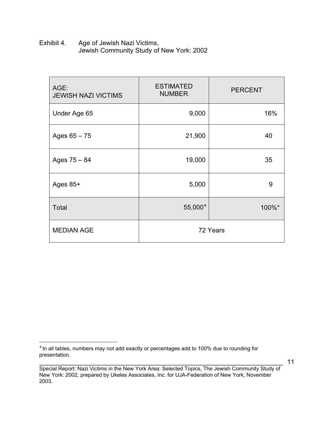Exhibit 4. Age of Jewish Nazi Victims, Jewish Community Study of New York: 2002

| AGE:<br><b>JEWISH NAZI VICTIMS</b> | <b>ESTIMATED</b><br><b>NUMBER</b> | <b>PERCENT</b> |
|------------------------------------|-----------------------------------|----------------|
| Under Age 65                       | 9,000                             | 16%            |
| Ages $65 - 75$                     | 21,900                            | 40             |
| Ages $75 - 84$                     | 19,000                            | 35             |
| Ages 85+                           | 5,000                             | 9              |
| <b>Total</b>                       | 55,000*                           | 100%*          |
| <b>MEDIAN AGE</b>                  |                                   | 72 Years       |

 $\overline{a}$ 

<sup>∗</sup> In all tables, numbers may not add exactly or percentages add to 100% due to rounding for presentation.

\_\_\_\_\_\_\_\_\_\_\_\_\_\_\_\_\_\_\_\_\_\_\_\_\_\_\_\_\_\_\_\_\_\_\_\_\_\_\_\_\_\_\_\_\_\_\_\_\_\_\_\_\_\_\_\_\_\_\_\_\_\_\_\_\_\_\_ Special Report: Nazi Victims in the New York Area: Selected Topics, The Jewish Community Study of New York: 2002, prepared by Ukeles Associates, Inc. for UJA-Federation of New York, November 2003.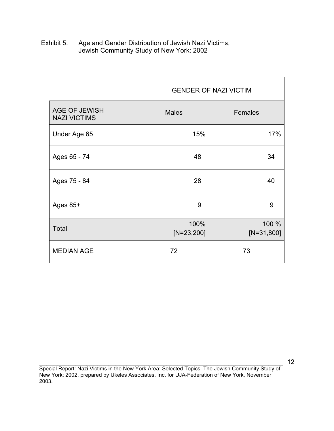Exhibit 5. Age and Gender Distribution of Jewish Nazi Victims, Jewish Community Study of New York: 2002

|                                             | <b>GENDER OF NAZI VICTIM</b> |                       |
|---------------------------------------------|------------------------------|-----------------------|
| <b>AGE OF JEWISH</b><br><b>NAZI VICTIMS</b> | <b>Males</b>                 | Females               |
| Under Age 65                                | 15%                          | 17%                   |
| Ages 65 - 74                                | 48                           | 34                    |
| Ages 75 - 84                                | 28                           | 40                    |
| Ages 85+                                    | 9                            | 9                     |
| <b>Total</b>                                | 100%<br>$[N=23,200]$         | 100 %<br>$[N=31,800]$ |
| <b>MEDIAN AGE</b>                           | 72                           | 73                    |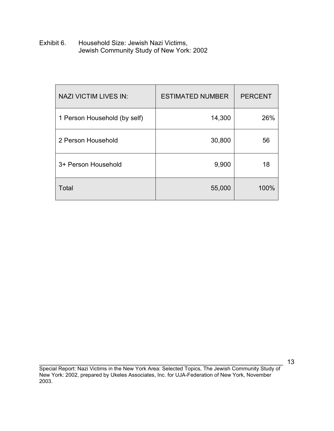Exhibit 6. Household Size: Jewish Nazi Victims, Jewish Community Study of New York: 2002

| <b>NAZI VICTIM LIVES IN:</b> | <b>ESTIMATED NUMBER</b> | <b>PERCENT</b> |
|------------------------------|-------------------------|----------------|
| 1 Person Household (by self) | 14,300                  | 26%            |
| 2 Person Household           | 30,800                  | 56             |
| 3+ Person Household          | 9,900                   | 18             |
| Total                        | 55,000                  | 100%           |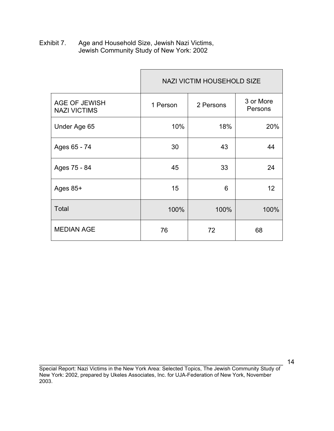Exhibit 7. Age and Household Size, Jewish Nazi Victims, Jewish Community Study of New York: 2002

|                                             | <b>NAZI VICTIM HOUSEHOLD SIZE</b> |           |                      |
|---------------------------------------------|-----------------------------------|-----------|----------------------|
| <b>AGE OF JEWISH</b><br><b>NAZI VICTIMS</b> | 1 Person                          | 2 Persons | 3 or More<br>Persons |
| Under Age 65                                | 10%                               | 18%       | 20%                  |
| Ages 65 - 74                                | 30                                | 43        | 44                   |
| Ages 75 - 84                                | 45                                | 33        | 24                   |
| Ages 85+                                    | 15                                | 6         | 12 <sup>2</sup>      |
| Total                                       | 100%                              | 100%      | 100%                 |
| <b>MEDIAN AGE</b>                           | 76                                | 72        | 68                   |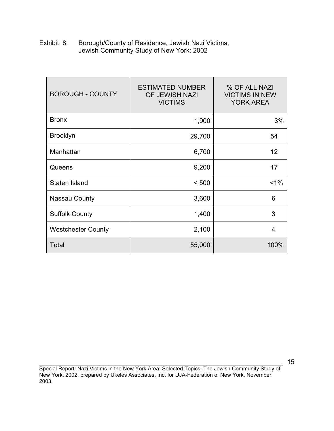| Exhibit 8. | Borough/County of Residence, Jewish Nazi Victims, |
|------------|---------------------------------------------------|
|            | Jewish Community Study of New York: 2002          |

| <b>BOROUGH - COUNTY</b>   | <b>ESTIMATED NUMBER</b><br>OF JEWISH NAZI<br><b>VICTIMS</b> | % OF ALL NAZI<br><b>VICTIMS IN NEW</b><br><b>YORK AREA</b> |
|---------------------------|-------------------------------------------------------------|------------------------------------------------------------|
| <b>Bronx</b>              | 1,900                                                       | 3%                                                         |
| <b>Brooklyn</b>           | 29,700                                                      | 54                                                         |
| Manhattan                 | 6,700                                                       | 12                                                         |
| Queens                    | 9,200                                                       | 17                                                         |
| Staten Island             | < 500                                                       | $1\%$                                                      |
| <b>Nassau County</b>      | 3,600                                                       | 6                                                          |
| <b>Suffolk County</b>     | 1,400                                                       | 3                                                          |
| <b>Westchester County</b> | 2,100                                                       | 4                                                          |
| Total                     | 55,000                                                      | 100%                                                       |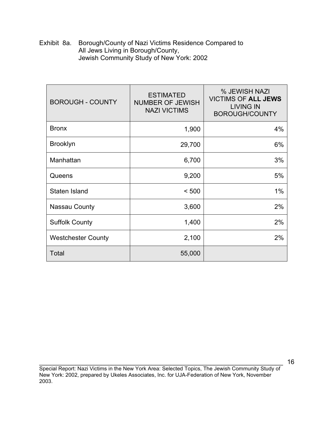Exhibit 8a. Borough/County of Nazi Victims Residence Compared to All Jews Living in Borough/County, Jewish Community Study of New York: 2002

| <b>BOROUGH - COUNTY</b>   | <b>ESTIMATED</b><br><b>NUMBER OF JEWISH</b><br><b>NAZI VICTIMS</b> | % JEWISH NAZI<br><b>VICTIMS OF ALL JEWS</b><br><b>LIVING IN</b><br><b>BOROUGH/COUNTY</b> |
|---------------------------|--------------------------------------------------------------------|------------------------------------------------------------------------------------------|
| <b>Bronx</b>              | 1,900                                                              | 4%                                                                                       |
| <b>Brooklyn</b>           | 29,700                                                             | 6%                                                                                       |
| Manhattan                 | 6,700                                                              | 3%                                                                                       |
| Queens                    | 9,200                                                              | 5%                                                                                       |
| Staten Island             | < 500                                                              | 1%                                                                                       |
| <b>Nassau County</b>      | 3,600                                                              | 2%                                                                                       |
| <b>Suffolk County</b>     | 1,400                                                              | 2%                                                                                       |
| <b>Westchester County</b> | 2,100                                                              | 2%                                                                                       |
| Total                     | 55,000                                                             |                                                                                          |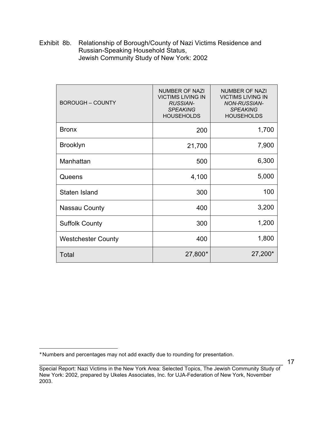Exhibit 8b. Relationship of Borough/County of Nazi Victims Residence and Russian-Speaking Household Status, Jewish Community Study of New York: 2002

| <b>BOROUGH - COUNTY</b>   | NUMBER OF NAZI<br><b>VICTIMS LIVING IN</b><br><b>RUSSIAN-</b><br><b>SPEAKING</b><br><b>HOUSEHOLDS</b> | NUMBER OF NAZI<br><b>VICTIMS LIVING IN</b><br><b>NON-RUSSIAN-</b><br><b>SPEAKING</b><br><b>HOUSEHOLDS</b> |
|---------------------------|-------------------------------------------------------------------------------------------------------|-----------------------------------------------------------------------------------------------------------|
| <b>Bronx</b>              | 200                                                                                                   | 1,700                                                                                                     |
| <b>Brooklyn</b>           | 21,700                                                                                                | 7,900                                                                                                     |
| Manhattan                 | 500                                                                                                   | 6,300                                                                                                     |
| Queens                    | 4,100                                                                                                 | 5,000                                                                                                     |
| Staten Island             | 300                                                                                                   | 100                                                                                                       |
| <b>Nassau County</b>      | 400                                                                                                   | 3,200                                                                                                     |
| <b>Suffolk County</b>     | 300                                                                                                   | 1,200                                                                                                     |
| <b>Westchester County</b> | 400                                                                                                   | 1,800                                                                                                     |
| Total                     | 27,800*                                                                                               | 27,200*                                                                                                   |

 $\overline{a}$ 

<sup>∗</sup> Numbers and percentages may not add exactly due to rounding for presentation.

\_\_\_\_\_\_\_\_\_\_\_\_\_\_\_\_\_\_\_\_\_\_\_\_\_\_\_\_\_\_\_\_\_\_\_\_\_\_\_\_\_\_\_\_\_\_\_\_\_\_\_\_\_\_\_\_\_\_\_\_\_\_\_\_\_\_\_ Special Report: Nazi Victims in the New York Area: Selected Topics, The Jewish Community Study of New York: 2002, prepared by Ukeles Associates, Inc. for UJA-Federation of New York, November 2003.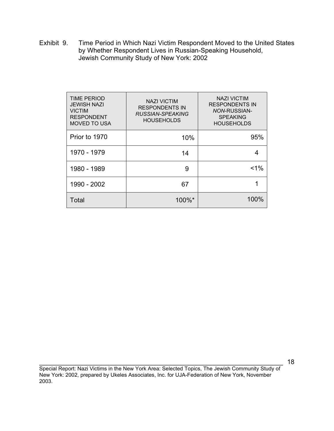Exhibit 9. Time Period in Which Nazi Victim Respondent Moved to the United States by Whether Respondent Lives in Russian-Speaking Household, Jewish Community Study of New York: 2002

| <b>TIME PERIOD</b><br>JEWISH NAZI<br><b>VICTIM</b><br><b>RESPONDENT</b><br><b>MOVED TO USA</b> | <b>NAZI VICTIM</b><br><b>RESPONDENTS IN</b><br>RUSSIAN-SPEAKING<br><b>HOUSEHOLDS</b> | <b>NAZI VICTIM</b><br><b>RESPONDENTS IN</b><br><b>NON-RUSSIAN-</b><br><b>SPEAKING</b><br><b>HOUSEHOLDS</b> |
|------------------------------------------------------------------------------------------------|--------------------------------------------------------------------------------------|------------------------------------------------------------------------------------------------------------|
| Prior to 1970                                                                                  | 10%                                                                                  | 95%                                                                                                        |
| 1970 - 1979                                                                                    | 14                                                                                   | 4                                                                                                          |
| 1980 - 1989                                                                                    | 9                                                                                    | $1\%$                                                                                                      |
| 1990 - 2002                                                                                    | 67                                                                                   |                                                                                                            |
| Total                                                                                          | 100%*                                                                                | 100%                                                                                                       |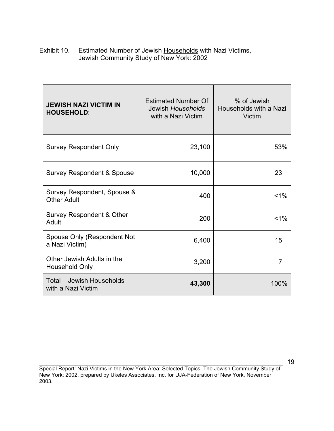Exhibit 10. Estimated Number of Jewish Households with Nazi Victims, Jewish Community Study of New York: 2002

| <b>JEWISH NAZI VICTIM IN</b><br><b>HOUSEHOLD:</b>   | <b>Estimated Number Of</b><br>Jewish Households<br>with a Nazi Victim | % of Jewish<br>Households with a Nazi<br>Victim |
|-----------------------------------------------------|-----------------------------------------------------------------------|-------------------------------------------------|
| <b>Survey Respondent Only</b>                       | 23,100                                                                | 53%                                             |
| <b>Survey Respondent &amp; Spouse</b>               | 10,000                                                                | 23                                              |
| Survey Respondent, Spouse &<br><b>Other Adult</b>   | 400                                                                   | $< 1\%$                                         |
| Survey Respondent & Other<br>Adult                  | 200                                                                   | $< 1\%$                                         |
| Spouse Only (Respondent Not<br>a Nazi Victim)       | 6,400                                                                 | 15                                              |
| Other Jewish Adults in the<br><b>Household Only</b> | 3,200                                                                 | $\overline{7}$                                  |
| Total - Jewish Households<br>with a Nazi Victim     | 43,300                                                                | 100%                                            |

\_\_\_\_\_\_\_\_\_\_\_\_\_\_\_\_\_\_\_\_\_\_\_\_\_\_\_\_\_\_\_\_\_\_\_\_\_\_\_\_\_\_\_\_\_\_\_\_\_\_\_\_\_\_\_\_\_\_\_\_\_\_\_\_\_\_\_ Special Report: Nazi Victims in the New York Area: Selected Topics, The Jewish Community Study of New York: 2002, prepared by Ukeles Associates, Inc. for UJA-Federation of New York, November 2003.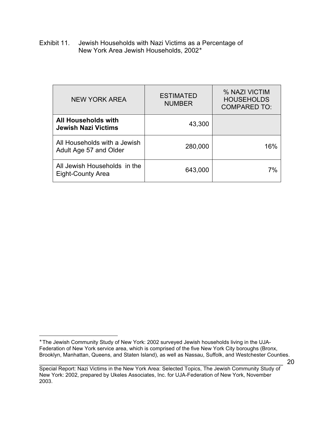Exhibit 11. Jewish Households with Nazi Victims as a Percentage of New York Area Jewish Households, 2002<sup>∗</sup>

| NEW YORK AREA                                            | <b>ESTIMATED</b><br><b>NUMBER</b> | % NAZI VICTIM<br><b>HOUSEHOLDS</b><br><b>COMPARED TO:</b> |  |
|----------------------------------------------------------|-----------------------------------|-----------------------------------------------------------|--|
| All Households with<br><b>Jewish Nazi Victims</b>        | 43,300                            |                                                           |  |
| All Households with a Jewish<br>Adult Age 57 and Older   | 280,000                           | 16%                                                       |  |
| All Jewish Households in the<br><b>Eight-County Area</b> | 643,000                           | 7%                                                        |  |

 $\overline{a}$ ∗ The Jewish Community Study of New York: 2002 surveyed Jewish households living in the UJA-Federation of New York service area, which is comprised of the five New York City boroughs (Bronx, Brooklyn, Manhattan, Queens, and Staten Island), as well as Nassau, Suffolk, and Westchester Counties.

\_\_\_\_\_\_\_\_\_\_\_\_\_\_\_\_\_\_\_\_\_\_\_\_\_\_\_\_\_\_\_\_\_\_\_\_\_\_\_\_\_\_\_\_\_\_\_\_\_\_\_\_\_\_\_\_\_\_\_\_\_\_\_\_\_\_\_ Special Report: Nazi Victims in the New York Area: Selected Topics, The Jewish Community Study of New York: 2002, prepared by Ukeles Associates, Inc. for UJA-Federation of New York, November 2003.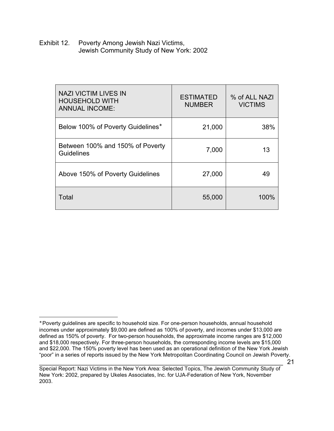Exhibit 12. Poverty Among Jewish Nazi Victims, Jewish Community Study of New York: 2002

| <b>NAZI VICTIM LIVES IN</b><br><b>HOUSEHOLD WITH</b><br><b>ANNUAL INCOME:</b> | <b>ESTIMATED</b><br><b>NUMBER</b> | % of ALL NAZI<br><b>VICTIMS</b> |
|-------------------------------------------------------------------------------|-----------------------------------|---------------------------------|
| Below 100% of Poverty Guidelines*                                             | 21,000                            | 38%                             |
| Between 100% and 150% of Poverty<br><b>Guidelines</b>                         | 7,000                             | 13                              |
| Above 150% of Poverty Guidelines                                              | 27,000                            | 49                              |
| Total                                                                         | 55,000                            | 100%                            |

 $\overline{a}$ ∗ Poverty guidelines are specific to household size. For one-person households, annual household incomes under approximately \$9,000 are defined as 100% of poverty, and incomes under \$13,000 are defined as 150% of poverty. For two-person households, the approximate income ranges are \$12,000 and \$18,000 respectively. For three-person households, the corresponding income levels are \$15,000 and \$22,000. The 150% poverty level has been used as an operational definition of the New York Jewish "poor" in a series of reports issued by the New York Metropolitan Coordinating Council on Jewish Poverty.

\_\_\_\_\_\_\_\_\_\_\_\_\_\_\_\_\_\_\_\_\_\_\_\_\_\_\_\_\_\_\_\_\_\_\_\_\_\_\_\_\_\_\_\_\_\_\_\_\_\_\_\_\_\_\_\_\_\_\_\_\_\_\_\_\_\_\_ Special Report: Nazi Victims in the New York Area: Selected Topics, The Jewish Community Study of New York: 2002, prepared by Ukeles Associates, Inc. for UJA-Federation of New York, November 2003.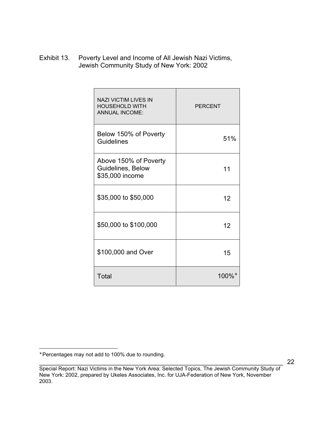Exhibit 13. Poverty Level and Income of All Jewish Nazi Victims, Jewish Community Study of New York: 2002

| <b>NAZI VICTIM LIVES IN</b><br><b>HOUSEHOLD WITH</b><br><b>ANNUAL INCOME:</b> | <b>PERCENT</b> |
|-------------------------------------------------------------------------------|----------------|
| Below 150% of Poverty<br><b>Guidelines</b>                                    | 51%            |
| Above 150% of Poverty<br>Guidelines, Below<br>\$35,000 income                 | 11             |
| \$35,000 to \$50,000                                                          | 12             |
| \$50,000 to \$100,000                                                         | 12             |
| \$100,000 and Over                                                            | 15             |
| Total                                                                         | 100%*          |

∗ Percentages may not add to 100% due to rounding.

\_\_\_\_\_\_\_\_\_\_\_\_\_\_\_\_\_\_\_\_\_\_\_\_\_\_\_\_\_\_\_\_\_\_\_\_\_\_\_\_\_\_\_\_\_\_\_\_\_\_\_\_\_\_\_\_\_\_\_\_\_\_\_\_\_\_\_ Special Report: Nazi Victims in the New York Area: Selected Topics, The Jewish Community Study of New York: 2002, prepared by Ukeles Associates, Inc. for UJA-Federation of New York, November 2003.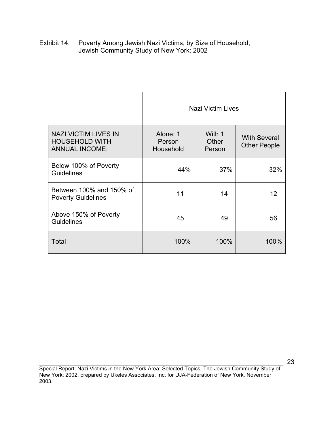Exhibit 14. Poverty Among Jewish Nazi Victims, by Size of Household, Jewish Community Study of New York: 2002

|                                                                               | Nazi Victim Lives               |                           |                                            |
|-------------------------------------------------------------------------------|---------------------------------|---------------------------|--------------------------------------------|
| <b>NAZI VICTIM LIVES IN</b><br><b>HOUSEHOLD WITH</b><br><b>ANNUAL INCOME:</b> | Alone: 1<br>Person<br>Household | With 1<br>Other<br>Person | <b>With Several</b><br><b>Other People</b> |
| Below 100% of Poverty<br><b>Guidelines</b>                                    | 44%                             | 37%                       | 32%                                        |
| Between 100% and 150% of<br><b>Poverty Guidelines</b>                         | 11                              | 14                        | 12                                         |
| Above 150% of Poverty<br><b>Guidelines</b>                                    | 45                              | 49                        | 56                                         |
| Total                                                                         | 100%                            | 100%                      | 100%                                       |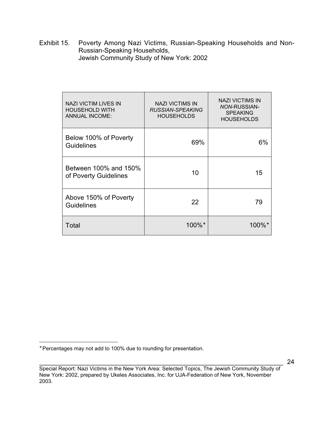Exhibit 15. Poverty Among Nazi Victims, Russian-Speaking Households and Non-Russian-Speaking Households, Jewish Community Study of New York: 2002

| NAZI VICTIM LIVES IN<br><b>HOUSEHOLD WITH</b><br><b>ANNUAL INCOME:</b> | <b>NAZI VICTIMS IN</b><br>RUSSIAN-SPEAKING<br><b>HOUSEHOLDS</b> | <b>NAZI VICTIMS IN</b><br><b>NON-RUSSIAN-</b><br><b>SPEAKING</b><br><b>HOUSEHOLDS</b> |
|------------------------------------------------------------------------|-----------------------------------------------------------------|---------------------------------------------------------------------------------------|
| Below 100% of Poverty<br>Guidelines                                    | 69%                                                             | 6%                                                                                    |
| Between 100% and 150%<br>of Poverty Guidelines                         | 10                                                              | 15                                                                                    |
| Above 150% of Poverty<br><b>Guidelines</b>                             | 22                                                              | 79                                                                                    |
| Total                                                                  | 100%*                                                           | $100\%$                                                                               |

 $\overline{a}$ 

<sup>∗</sup> Percentages may not add to 100% due to rounding for presentation.

\_\_\_\_\_\_\_\_\_\_\_\_\_\_\_\_\_\_\_\_\_\_\_\_\_\_\_\_\_\_\_\_\_\_\_\_\_\_\_\_\_\_\_\_\_\_\_\_\_\_\_\_\_\_\_\_\_\_\_\_\_\_\_\_\_\_\_ Special Report: Nazi Victims in the New York Area: Selected Topics, The Jewish Community Study of New York: 2002, prepared by Ukeles Associates, Inc. for UJA-Federation of New York, November 2003.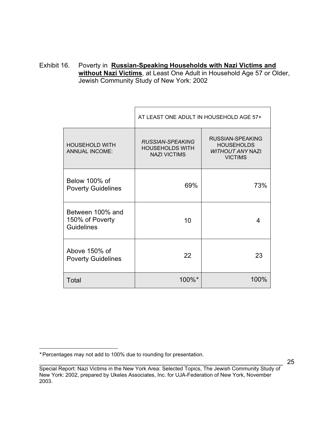Exhibit 16. Poverty in **Russian-Speaking Households with Nazi Victims and without Nazi Victims**, at Least One Adult in Household Age 57 or Older, Jewish Community Study of New York: 2002

|                                                          | AT LEAST ONE ADULT IN HOUSEHOLD AGE 57+                           |                                                                                    |  |
|----------------------------------------------------------|-------------------------------------------------------------------|------------------------------------------------------------------------------------|--|
| <b>HOUSEHOLD WITH</b><br><b>ANNUAL INCOME:</b>           | RUSSIAN-SPEAKING<br><b>HOUSEHOLDS WITH</b><br><b>NAZI VICTIMS</b> | RUSSIAN-SPEAKING<br><b>HOUSEHOLDS</b><br><b>WITHOUT ANY NAZI</b><br><b>VICTIMS</b> |  |
| Below 100% of<br><b>Poverty Guidelines</b>               | 69%                                                               | 73%                                                                                |  |
| Between 100% and<br>150% of Poverty<br><b>Guidelines</b> | 10                                                                | 4                                                                                  |  |
| Above 150% of<br><b>Poverty Guidelines</b>               | 22                                                                | 23                                                                                 |  |
| Total                                                    | 100%*                                                             | 100%                                                                               |  |

 $\overline{a}$ ∗ Percentages may not add to 100% due to rounding for presentation.

\_\_\_\_\_\_\_\_\_\_\_\_\_\_\_\_\_\_\_\_\_\_\_\_\_\_\_\_\_\_\_\_\_\_\_\_\_\_\_\_\_\_\_\_\_\_\_\_\_\_\_\_\_\_\_\_\_\_\_\_\_\_\_\_\_\_\_ Special Report: Nazi Victims in the New York Area: Selected Topics, The Jewish Community Study of New York: 2002, prepared by Ukeles Associates, Inc. for UJA-Federation of New York, November 2003.